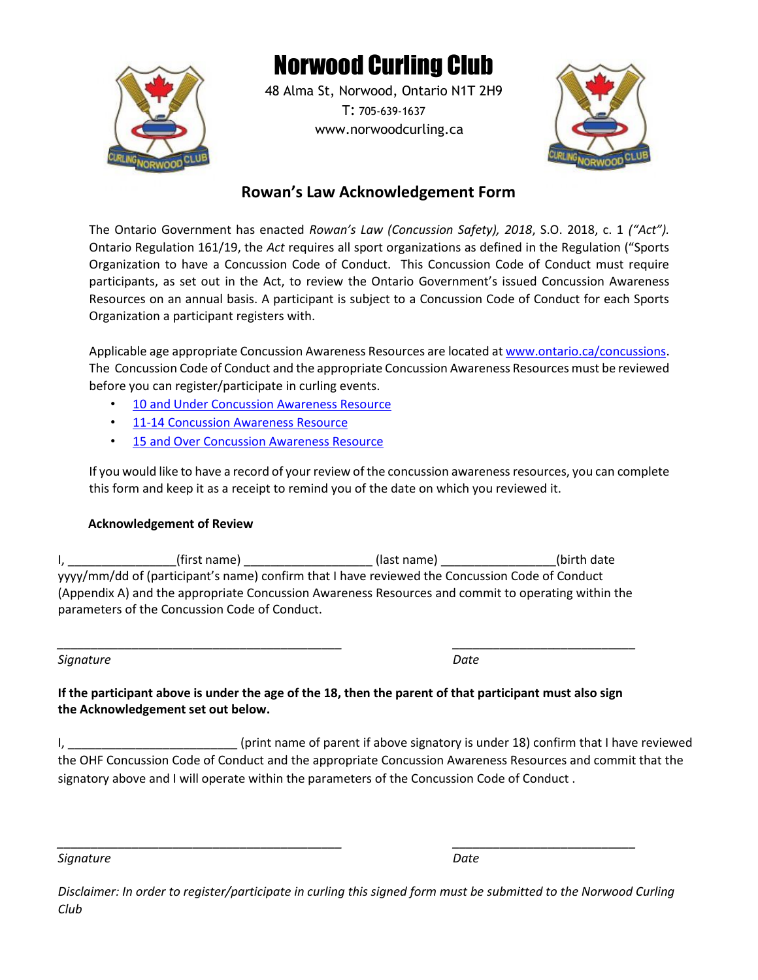

# Norwood Curling Club

48 Alma St, Norwood, Ontario N1T 2H9 T: 705-639-1637 www.norwoodcurling.ca



### **Rowan's Law Acknowledgement Form**

The Ontario Government has enacted *Rowan's Law (Concussion Safety), 2018*, S.O. 2018, c. 1 *("Act").*  Ontario Regulation 161/19, the *Act* requires all sport organizations as defined in the Regulation ("Sports Organization to have a Concussion Code of Conduct. This Concussion Code of Conduct must require participants, as set out in the Act, to review the Ontario Government's issued Concussion Awareness Resources on an annual basis. A participant is subject to a Concussion Code of Conduct for each Sports Organization a participant registers with.

Applicable age appropriate Concussion Awareness Resources are located at www.ontario.ca/concussions. The Concussion Code of Conduct and the appropriate Concussion Awareness Resources must be reviewed before you can register/participate in curling events.

- 10 and Under Concussion Awareness Resource
- 11-14 Concussion Awareness Resource
- 15 and Over Concussion Awareness Resource

If you would like to have a record of your review of the concussion awareness resources, you can complete this form and keep it as a receipt to remind you of the date on which you reviewed it.

#### **Acknowledgement of Review**

I, \_\_\_\_\_\_\_\_\_\_\_\_\_\_\_\_\_(first name) \_\_\_\_\_\_\_\_\_\_\_\_\_\_\_\_\_\_\_\_\_(last name) \_\_\_\_\_\_\_\_\_\_\_\_\_\_\_\_\_(birth date yyyy/mm/dd of (participant's name) confirm that I have reviewed the Concussion Code of Conduct (Appendix A) and the appropriate Concussion Awareness Resources and commit to operating within the parameters of the Concussion Code of Conduct.

*\_\_\_\_\_\_\_\_\_\_\_\_\_\_\_\_\_\_\_\_\_\_\_\_\_\_\_\_\_\_\_\_\_\_\_\_\_\_\_\_\_\_ \_\_\_\_\_\_\_\_\_\_\_\_\_\_\_\_\_\_\_\_\_\_\_\_\_\_\_*

**Signature** Date

**If the participant above is under the age of the 18, then the parent of that participant must also sign the Acknowledgement set out below.**

I, \_\_\_\_\_\_\_\_\_\_\_\_\_\_\_\_\_\_\_\_\_\_\_\_\_\_\_\_\_\_(print name of parent if above signatory is under 18) confirm that I have reviewed the OHF Concussion Code of Conduct and the appropriate Concussion Awareness Resources and commit that the signatory above and I will operate within the parameters of the Concussion Code of Conduct .

*Signature Date*

*Disclaimer: In order to register/participate in curling this signed form must be submitted to the Norwood Curling Club*

*\_\_\_\_\_\_\_\_\_\_\_\_\_\_\_\_\_\_\_\_\_\_\_\_\_\_\_\_\_\_\_\_\_\_\_\_\_\_\_\_\_\_ \_\_\_\_\_\_\_\_\_\_\_\_\_\_\_\_\_\_\_\_\_\_\_\_\_\_\_*